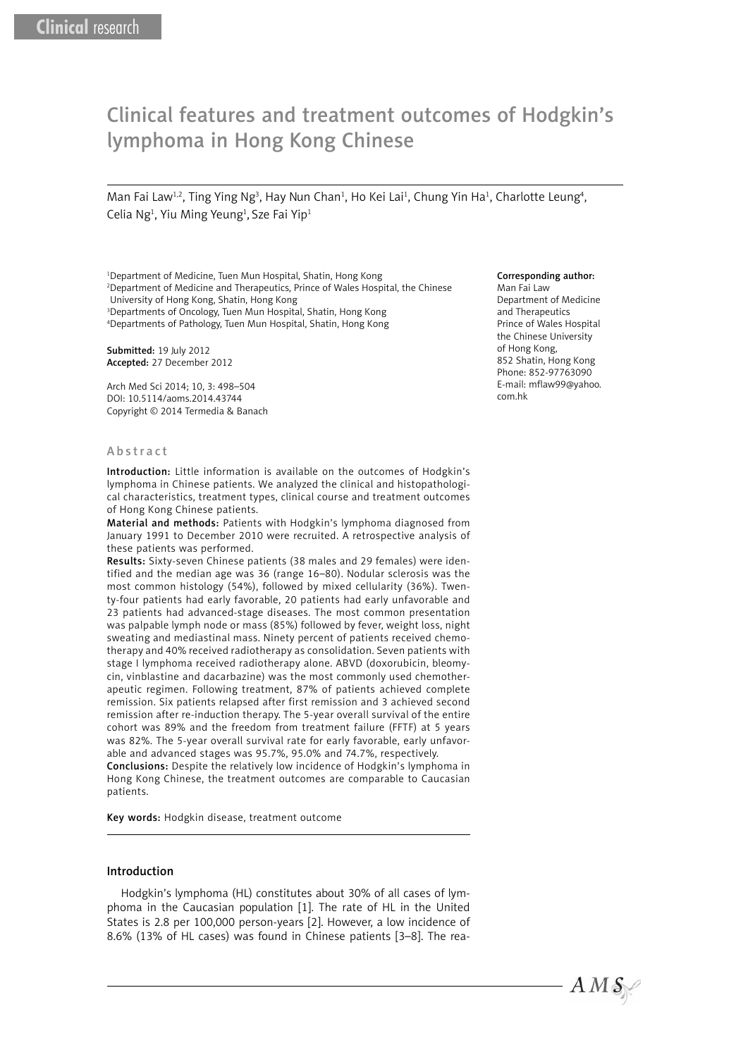# Clinical features and treatment outcomes of Hodgkin's lymphoma in Hong Kong Chinese

Man Fai Law<sup>1,2</sup>, Ting Ying Ng<sup>3</sup>, Hay Nun Chan<sup>1</sup>, Ho Kei Lai<sup>1</sup>, Chung Yin Ha<sup>1</sup>, Charlotte Leung<sup>4</sup>, Celia Ng<sup>1</sup>, Yiu Ming Yeung<sup>1</sup>, Sze Fai Yip<sup>1</sup>

<sup>1</sup>Department of Medicine, Tuen Mun Hospital, Shatin, Hong Kong 2 Department of Medicine and Therapeutics, Prince of Wales Hospital, the Chinese University of Hong Kong, Shatin, Hong Kong

3 Departments of Oncology, Tuen Mun Hospital, Shatin, Hong Kong 4 Departments of Pathology, Tuen Mun Hospital, Shatin, Hong Kong

Submitted: 19 July 2012 Accepted: 27 December 2012

Arch Med Sci 2014; 10, 3: 498–504 DOI: 10.5114/aoms.2014.43744 Copyright © 2014 Termedia & Banach

#### Abstract

Introduction: Little information is available on the outcomes of Hodgkin's lymphoma in Chinese patients. We analyzed the clinical and histopathological characteristics, treatment types, clinical course and treatment outcomes of Hong Kong Chinese patients.

Material and methods: Patients with Hodgkin's lymphoma diagnosed from January 1991 to December 2010 were recruited. A retrospective analysis of these patients was performed.

Results: Sixty-seven Chinese patients (38 males and 29 females) were identified and the median age was 36 (range 16–80). Nodular sclerosis was the most common histology (54%), followed by mixed cellularity (36%). Twenty-four patients had early favorable, 20 patients had early unfavorable and 23 patients had advanced-stage diseases. The most common presentation was palpable lymph node or mass (85%) followed by fever, weight loss, night sweating and mediastinal mass. Ninety percent of patients received chemotherapy and 40% received radiotherapy as consolidation. Seven patients with stage I lymphoma received radiotherapy alone. ABVD (doxorubicin, bleomycin, vinblastine and dacarbazine) was the most commonly used chemotherapeutic regimen. Following treatment, 87% of patients achieved complete remission. Six patients relapsed after first remission and 3 achieved second remission after re-induction therapy. The 5-year overall survival of the entire cohort was 89% and the freedom from treatment failure (FFTF) at 5 years was 82%. The 5-year overall survival rate for early favorable, early unfavorable and advanced stages was 95.7%, 95.0% and 74.7%, respectively.

Conclusions: Despite the relatively low incidence of Hodgkin's lymphoma in Hong Kong Chinese, the treatment outcomes are comparable to Caucasian patients.

Key words: Hodgkin disease, treatment outcome

#### Introduction

Hodgkin's lymphoma (HL) constitutes about 30% of all cases of lymphoma in the Caucasian population [1]. The rate of HL in the United States is 2.8 per 100,000 person-years [2]. However, a low incidence of 8.6% (13% of HL cases) was found in Chinese patients [3–8]. The rea-

#### Corresponding author:

Man Fai Law Department of Medicine and Therapeutics Prince of Wales Hospital the Chinese University of Hong Kong, 852 Shatin, Hong Kong Phone: 852-97763090 E-mail: mflaw99@yahoo. com.hk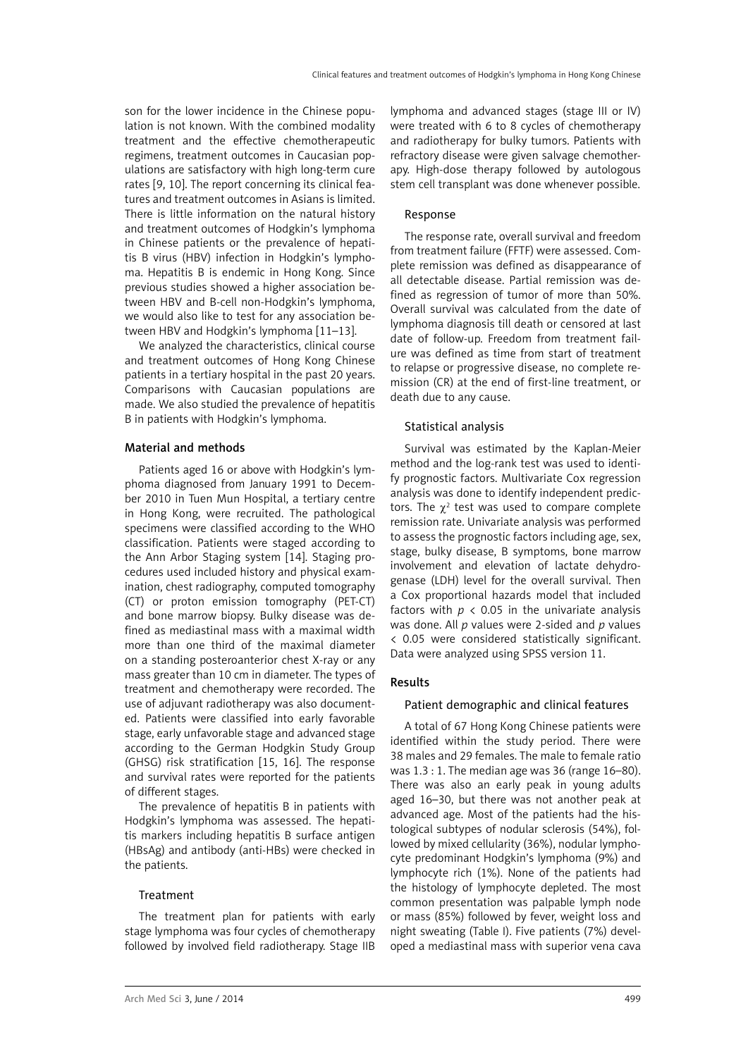son for the lower incidence in the Chinese population is not known. With the combined modality treatment and the effective chemotherapeutic regimens, treatment outcomes in Caucasian populations are satisfactory with high long-term cure rates [9, 10]. The report concerning its clinical features and treatment outcomes in Asians is limited. There is little information on the natural history and treatment outcomes of Hodgkin's lymphoma in Chinese patients or the prevalence of hepatitis B virus (HBV) infection in Hodgkin's lymphoma. Hepatitis B is endemic in Hong Kong. Since previous studies showed a higher association between HBV and B-cell non-Hodgkin's lymphoma, we would also like to test for any association between HBV and Hodgkin's lymphoma [11–13].

We analyzed the characteristics, clinical course and treatment outcomes of Hong Kong Chinese patients in a tertiary hospital in the past 20 years. Comparisons with Caucasian populations are made. We also studied the prevalence of hepatitis B in patients with Hodgkin's lymphoma.

# Material and methods

Patients aged 16 or above with Hodgkin's lymphoma diagnosed from January 1991 to December 2010 in Tuen Mun Hospital, a tertiary centre in Hong Kong, were recruited. The pathological specimens were classified according to the WHO classification. Patients were staged according to the Ann Arbor Staging system [14]. Staging procedures used included history and physical examination, chest radiography, computed tomography (CT) or proton emission tomography (PET-CT) and bone marrow biopsy. Bulky disease was defined as mediastinal mass with a maximal width more than one third of the maximal diameter on a standing posteroanterior chest X-ray or any mass greater than 10 cm in diameter. The types of treatment and chemotherapy were recorded. The use of adjuvant radiotherapy was also documented. Patients were classified into early favorable stage, early unfavorable stage and advanced stage according to the German Hodgkin Study Group (GHSG) risk stratification [15, 16]. The response and survival rates were reported for the patients of different stages.

The prevalence of hepatitis B in patients with Hodgkin's lymphoma was assessed. The hepatitis markers including hepatitis B surface antigen (HBsAg) and antibody (anti-HBs) were checked in the patients.

## Treatment

The treatment plan for patients with early stage lymphoma was four cycles of chemotherapy followed by involved field radiotherapy. Stage IIB

lymphoma and advanced stages (stage III or IV) were treated with 6 to 8 cycles of chemotherapy and radiotherapy for bulky tumors. Patients with refractory disease were given salvage chemotherapy. High-dose therapy followed by autologous stem cell transplant was done whenever possible.

## Response

The response rate, overall survival and freedom from treatment failure (FFTF) were assessed. Complete remission was defined as disappearance of all detectable disease. Partial remission was defined as regression of tumor of more than 50%. Overall survival was calculated from the date of lymphoma diagnosis till death or censored at last date of follow-up. Freedom from treatment failure was defined as time from start of treatment to relapse or progressive disease, no complete remission (CR) at the end of first-line treatment, or death due to any cause.

## Statistical analysis

Survival was estimated by the Kaplan-Meier method and the log-rank test was used to identify prognostic factors. Multivariate Cox regression analysis was done to identify independent predictors. The  $\chi^2$  test was used to compare complete remission rate. Univariate analysis was performed to assess the prognostic factors including age, sex, stage, bulky disease, B symptoms, bone marrow involvement and elevation of lactate dehydrogenase (LDH) level for the overall survival. Then a Cox proportional hazards model that included factors with  $p \times 0.05$  in the univariate analysis was done. All *p* values were 2-sided and *p* values < 0.05 were considered statistically significant. Data were analyzed using SPSS version 11.

# Results

# Patient demographic and clinical features

A total of 67 Hong Kong Chinese patients were identified within the study period. There were 38 males and 29 females. The male to female ratio was 1.3 : 1. The median age was 36 (range 16–80). There was also an early peak in young adults aged 16–30, but there was not another peak at advanced age. Most of the patients had the histological subtypes of nodular sclerosis (54%), followed by mixed cellularity (36%), nodular lymphocyte predominant Hodgkin's lymphoma (9%) and lymphocyte rich (1%). None of the patients had the histology of lymphocyte depleted. The most common presentation was palpable lymph node or mass (85%) followed by fever, weight loss and night sweating (Table I). Five patients (7%) developed a mediastinal mass with superior vena cava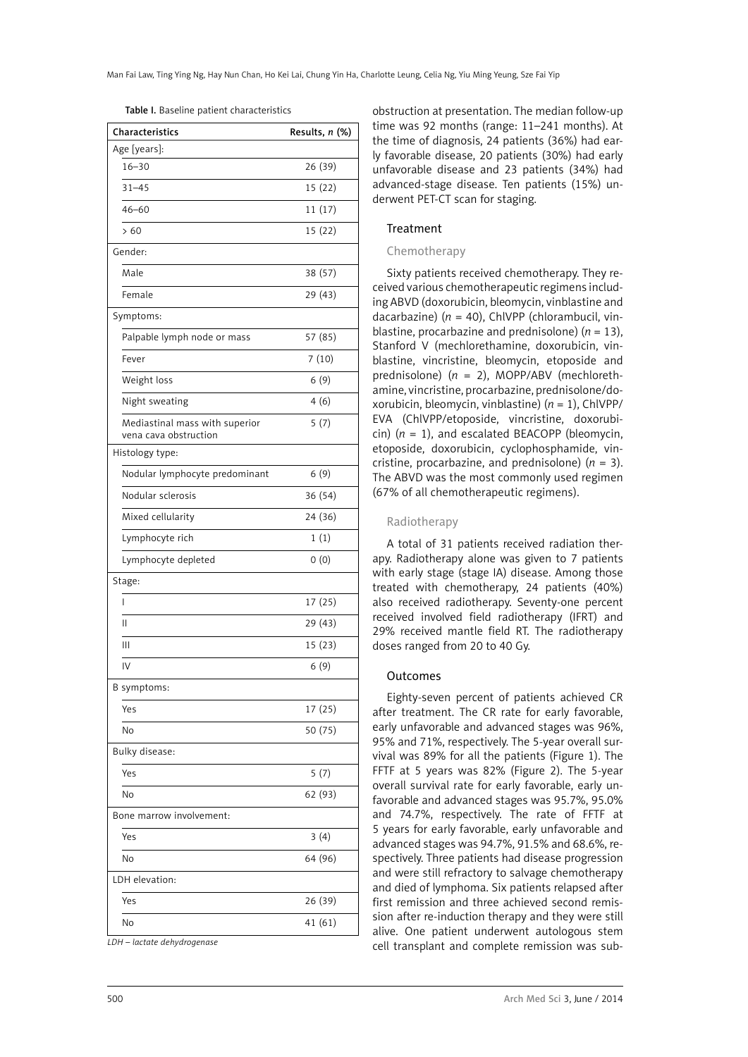| <b>Characteristics</b>                                  | Results, n (%) |
|---------------------------------------------------------|----------------|
| Age [years]:                                            |                |
| $16 - 30$                                               | 26 (39)        |
| $31 - 45$                                               | 15 (22)        |
| $46 - 60$                                               | 11 (17)        |
| >60                                                     | 15 (22)        |
| Gender:                                                 |                |
| Male                                                    | 38 (57)        |
| Female                                                  | 29 (43)        |
| Symptoms:                                               |                |
| Palpable lymph node or mass                             | 57 (85)        |
| Fever                                                   | 7(10)          |
| Weight loss                                             | 6(9)           |
| Night sweating                                          | 4(6)           |
| Mediastinal mass with superior<br>vena cava obstruction | 5(7)           |
| Histology type:                                         |                |
| Nodular lymphocyte predominant                          | 6(9)           |
| Nodular sclerosis                                       | 36 (54)        |
| Mixed cellularity                                       | 24 (36)        |
| Lymphocyte rich                                         | 1(1)           |
| Lymphocyte depleted                                     | 0(0)           |
| Stage:                                                  |                |
| ı                                                       | 17 (25)        |
| П                                                       | 29 (43)        |
| Ш                                                       | 15 (23)        |
| IV                                                      | 6(9)           |
| B symptoms:                                             |                |
| Yes                                                     | 17 (25)        |
| No                                                      | 50 (75)        |
| Bulky disease:                                          |                |
| Yes                                                     | 5(7)           |
| No                                                      | 62 (93)        |
| Bone marrow involvement:                                |                |
| Yes                                                     | 3(4)           |
| No                                                      | 64 (96)        |
| LDH elevation:                                          |                |
| Yes                                                     | 26 (39)        |
| No                                                      | 41 (61)        |

*LDH – lactate dehydrogenase*

obstruction at presentation. The median follow-up time was 92 months (range: 11–241 months). At the time of diagnosis, 24 patients (36%) had early favorable disease, 20 patients (30%) had early unfavorable disease and 23 patients (34%) had advanced-stage disease. Ten patients (15%) underwent PET-CT scan for staging.

## Treatment

## Chemotherapy

Sixty patients received chemotherapy. They received various chemotherapeutic regimens including ABVD (doxorubicin, bleomycin, vinblastine and dacarbazine) (*n* = 40), ChlVPP (chlorambucil, vinblastine, procarbazine and prednisolone)  $(n = 13)$ , Stanford V (mechlorethamine, doxorubicin, vinblastine, vincristine, bleomycin, etoposide and prednisolone) (*n* = 2), MOPP/ABV (mechlorethamine, vincristine, procarbazine, prednisolone/doxorubicin, bleomycin, vinblastine) (*n* = 1), ChlVPP/ EVA (ChlVPP/etoposide, vincristine, doxorubicin)  $(n = 1)$ , and escalated BEACOPP (bleomycin, etoposide, doxorubicin, cyclophosphamide, vincristine, procarbazine, and prednisolone)  $(n = 3)$ . The ABVD was the most commonly used regimen (67% of all chemotherapeutic regimens).

## Radiotherapy

A total of 31 patients received radiation therapy. Radiotherapy alone was given to 7 patients with early stage (stage IA) disease. Among those treated with chemotherapy, 24 patients (40%) also received radiotherapy. Seventy-one percent received involved field radiotherapy (IFRT) and 29% received mantle field RT. The radiotherapy doses ranged from 20 to 40 Gy.

#### Outcomes

Eighty-seven percent of patients achieved CR after treatment. The CR rate for early favorable, early unfavorable and advanced stages was 96%, 95% and 71%, respectively. The 5-year overall survival was 89% for all the patients (Figure 1). The FFTF at 5 years was 82% (Figure 2). The 5-year overall survival rate for early favorable, early unfavorable and advanced stages was 95.7%, 95.0% and 74.7%, respectively. The rate of FFTF at 5 years for early favorable, early unfavorable and advanced stages was 94.7%, 91.5% and 68.6%, respectively. Three patients had disease progression and were still refractory to salvage chemotherapy and died of lymphoma. Six patients relapsed after first remission and three achieved second remission after re-induction therapy and they were still alive. One patient underwent autologous stem cell transplant and complete remission was sub-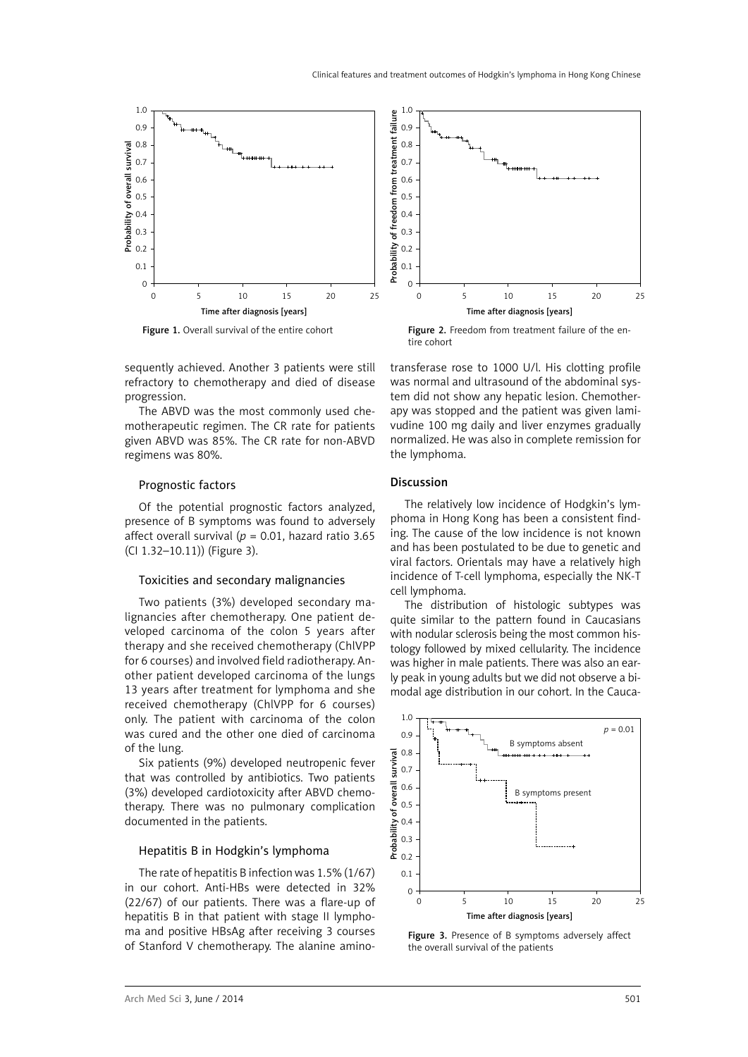

Figure 1. Overall survival of the entire cohort

Figure 2. Freedom from treatment failure of the entire cohort

sequently achieved. Another 3 patients were still refractory to chemotherapy and died of disease progression.

The ABVD was the most commonly used chemotherapeutic regimen. The CR rate for patients given ABVD was 85%. The CR rate for non-ABVD regimens was 80%.

#### Prognostic factors

Of the potential prognostic factors analyzed, presence of B symptoms was found to adversely affect overall survival ( $p = 0.01$ , hazard ratio 3.65 (CI 1.32–10.11)) (Figure 3).

#### Toxicities and secondary malignancies

Two patients (3%) developed secondary malignancies after chemotherapy. One patient developed carcinoma of the colon 5 years after therapy and she received chemotherapy (ChlVPP for 6 courses) and involved field radiotherapy. Another patient developed carcinoma of the lungs 13 years after treatment for lymphoma and she received chemotherapy (ChlVPP for 6 courses) only. The patient with carcinoma of the colon was cured and the other one died of carcinoma of the lung.

Six patients (9%) developed neutropenic fever that was controlled by antibiotics. Two patients (3%) developed cardiotoxicity after ABVD chemotherapy. There was no pulmonary complication documented in the patients.

#### Hepatitis B in Hodgkin's lymphoma

The rate of hepatitis B infection was 1.5% (1/67) in our cohort. Anti-HBs were detected in 32% (22/67) of our patients. There was a flare-up of hepatitis B in that patient with stage II lymphoma and positive HBsAg after receiving 3 courses of Stanford V chemotherapy. The alanine aminotransferase rose to 1000 U/l. His clotting profile was normal and ultrasound of the abdominal system did not show any hepatic lesion. Chemotherapy was stopped and the patient was given lamivudine 100 mg daily and liver enzymes gradually normalized. He was also in complete remission for the lymphoma.

### Discussion

The relatively low incidence of Hodgkin's lymphoma in Hong Kong has been a consistent finding. The cause of the low incidence is not known and has been postulated to be due to genetic and viral factors. Orientals may have a relatively high incidence of T-cell lymphoma, especially the NK-T cell lymphoma.

The distribution of histologic subtypes was quite similar to the pattern found in Caucasians with nodular sclerosis being the most common histology followed by mixed cellularity. The incidence was higher in male patients. There was also an early peak in young adults but we did not observe a bimodal age distribution in our cohort. In the Cauca-



Figure 3. Presence of B symptoms adversely affect the overall survival of the patients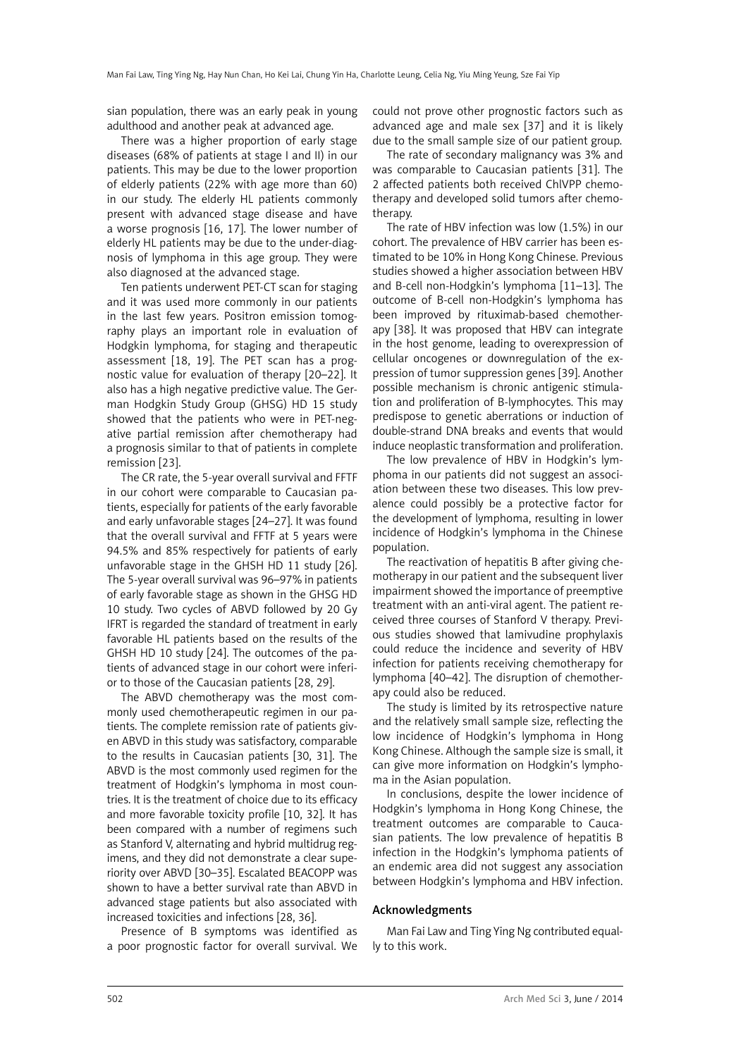sian population, there was an early peak in young adulthood and another peak at advanced age.

There was a higher proportion of early stage diseases (68% of patients at stage I and II) in our patients. This may be due to the lower proportion of elderly patients (22% with age more than 60) in our study. The elderly HL patients commonly present with advanced stage disease and have a worse prognosis [16, 17]. The lower number of elderly HL patients may be due to the under-diagnosis of lymphoma in this age group. They were also diagnosed at the advanced stage.

Ten patients underwent PET-CT scan for staging and it was used more commonly in our patients in the last few years. Positron emission tomography plays an important role in evaluation of Hodgkin lymphoma, for staging and therapeutic assessment [18, 19]. The PET scan has a prognostic value for evaluation of therapy [20–22]. It also has a high negative predictive value. The German Hodgkin Study Group (GHSG) HD 15 study showed that the patients who were in PET-negative partial remission after chemotherapy had a prognosis similar to that of patients in complete remission [23].

The CR rate, the 5-year overall survival and FFTF in our cohort were comparable to Caucasian patients, especially for patients of the early favorable and early unfavorable stages [24–27]. It was found that the overall survival and FFTF at 5 years were 94.5% and 85% respectively for patients of early unfavorable stage in the GHSH HD 11 study [26]. The 5-year overall survival was 96–97% in patients of early favorable stage as shown in the GHSG HD 10 study. Two cycles of ABVD followed by 20 Gy IFRT is regarded the standard of treatment in early favorable HL patients based on the results of the GHSH HD 10 study [24]. The outcomes of the patients of advanced stage in our cohort were inferior to those of the Caucasian patients [28, 29].

The ABVD chemotherapy was the most commonly used chemotherapeutic regimen in our patients. The complete remission rate of patients given ABVD in this study was satisfactory, comparable to the results in Caucasian patients [30, 31]. The ABVD is the most commonly used regimen for the treatment of Hodgkin's lymphoma in most countries. It is the treatment of choice due to its efficacy and more favorable toxicity profile [10, 32]. It has been compared with a number of regimens such as Stanford V, alternating and hybrid multidrug regimens, and they did not demonstrate a clear superiority over ABVD [30–35]. Escalated BEACOPP was shown to have a better survival rate than ABVD in advanced stage patients but also associated with increased toxicities and infections [28, 36].

Presence of B symptoms was identified as a poor prognostic factor for overall survival. We could not prove other prognostic factors such as advanced age and male sex [37] and it is likely due to the small sample size of our patient group.

The rate of secondary malignancy was 3% and was comparable to Caucasian patients [31]. The 2 affected patients both received ChlVPP chemotherapy and developed solid tumors after chemotherapy.

The rate of HBV infection was low (1.5%) in our cohort. The prevalence of HBV carrier has been estimated to be 10% in Hong Kong Chinese. Previous studies showed a higher association between HBV and B-cell non-Hodgkin's lymphoma [11–13]. The outcome of B-cell non-Hodgkin's lymphoma has been improved by rituximab-based chemotherapy [38]. It was proposed that HBV can integrate in the host genome, leading to overexpression of cellular oncogenes or downregulation of the expression of tumor suppression genes [39]. Another possible mechanism is chronic antigenic stimulation and proliferation of B-lymphocytes. This may predispose to genetic aberrations or induction of double-strand DNA breaks and events that would induce neoplastic transformation and proliferation.

The low prevalence of HBV in Hodgkin's lymphoma in our patients did not suggest an association between these two diseases. This low prevalence could possibly be a protective factor for the development of lymphoma, resulting in lower incidence of Hodgkin's lymphoma in the Chinese population.

The reactivation of hepatitis B after giving chemotherapy in our patient and the subsequent liver impairment showed the importance of preemptive treatment with an anti-viral agent. The patient received three courses of Stanford V therapy. Previous studies showed that lamivudine prophylaxis could reduce the incidence and severity of HBV infection for patients receiving chemotherapy for lymphoma [40–42]. The disruption of chemotherapy could also be reduced.

The study is limited by its retrospective nature and the relatively small sample size, reflecting the low incidence of Hodgkin's lymphoma in Hong Kong Chinese. Although the sample size is small, it can give more information on Hodgkin's lymphoma in the Asian population.

In conclusions, despite the lower incidence of Hodgkin's lymphoma in Hong Kong Chinese, the treatment outcomes are comparable to Caucasian patients. The low prevalence of hepatitis B infection in the Hodgkin's lymphoma patients of an endemic area did not suggest any association between Hodgkin's lymphoma and HBV infection.

### Acknowledgments

Man Fai Law and Ting Ying Ng contributed equally to this work.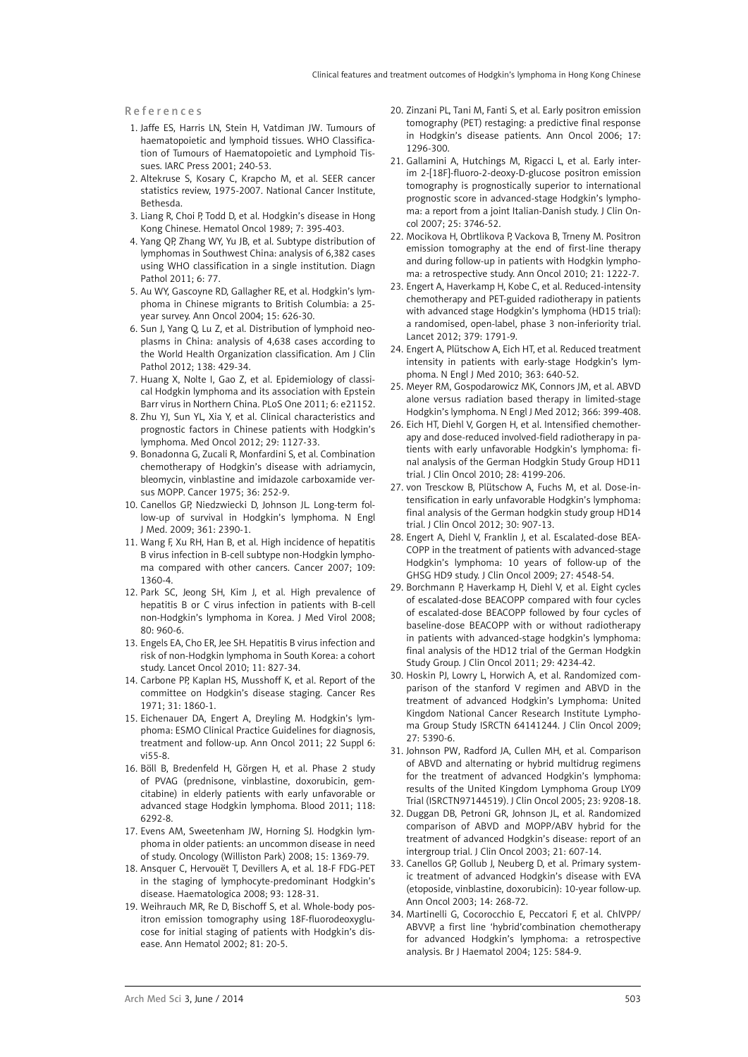#### References

- 1. Jaffe ES, Harris LN, Stein H, Vatdiman JW. Tumours of haematopoietic and lymphoid tissues. WHO Classification of Tumours of Haematopoietic and Lymphoid Tissues. IARC Press 2001; 240-53.
- 2. Altekruse S, Kosary C, Krapcho M, et al. SEER cancer statistics review, 1975-2007. National Cancer Institute, Bethesda.
- 3. Liang R, Choi P, Todd D, et al. Hodgkin's disease in Hong Kong Chinese. Hematol Oncol 1989; 7: 395-403.
- 4. Yang QP, Zhang WY, Yu JB, et al. Subtype distribution of lymphomas in Southwest China: analysis of 6,382 cases using WHO classification in a single institution. Diagn Pathol 2011; 6: 77.
- 5. Au WY, Gascoyne RD, Gallagher RE, et al. Hodgkin's lymphoma in Chinese migrants to British Columbia: a 25 year survey. Ann Oncol 2004; 15: 626-30.
- 6. Sun J, Yang Q, Lu Z, et al. Distribution of lymphoid neoplasms in China: analysis of 4,638 cases according to the World Health Organization classification. Am J Clin Pathol 2012; 138: 429-34.
- 7. Huang X, Nolte I, Gao Z, et al. Epidemiology of classical Hodgkin lymphoma and its association with Epstein Barr virus in Northern China. PLoS One 2011; 6: e21152.
- 8. Zhu YJ, Sun YL, Xia Y, et al. Clinical characteristics and prognostic factors in Chinese patients with Hodgkin's lymphoma. Med Oncol 2012; 29: 1127-33.
- 9. Bonadonna G, Zucali R, Monfardini S, et al. Combination chemotherapy of Hodgkin's disease with adriamycin, bleomycin, vinblastine and imidazole carboxamide versus MOPP. Cancer 1975; 36: 252-9.
- 10. Canellos GP, Niedzwiecki D, Johnson JL. Long-term follow-up of survival in Hodgkin's lymphoma. N Engl J Med. 2009; 361: 2390-1.
- 11. Wang F, Xu RH, Han B, et al. High incidence of hepatitis B virus infection in B-cell subtype non-Hodgkin lymphoma compared with other cancers. Cancer 2007; 109: 1360-4.
- 12. Park SC, Jeong SH, Kim J, et al. High prevalence of hepatitis B or C virus infection in patients with B-cell non-Hodgkin's lymphoma in Korea. J Med Virol 2008; 80: 960-6.
- 13. Engels EA, Cho ER, Jee SH. Hepatitis B virus infection and risk of non-Hodgkin lymphoma in South Korea: a cohort study. Lancet Oncol 2010; 11: 827-34.
- 14. Carbone PP, Kaplan HS, Musshoff K, et al. Report of the committee on Hodgkin's disease staging. Cancer Res 1971; 31: 1860-1.
- 15. Eichenauer DA, Engert A, Dreyling M. Hodgkin's lymphoma: ESMO Clinical Practice Guidelines for diagnosis, treatment and follow-up. Ann Oncol 2011; 22 Suppl 6: vi55-8.
- 16. Böll B, Bredenfeld H, Görgen H, et al. Phase 2 study of PVAG (prednisone, vinblastine, doxorubicin, gemcitabine) in elderly patients with early unfavorable or advanced stage Hodgkin lymphoma. Blood 2011; 118: 6292-8.
- 17. Evens AM, Sweetenham JW, Horning SJ. Hodgkin lymphoma in older patients: an uncommon disease in need of study. Oncology (Williston Park) 2008; 15: 1369-79.
- 18. Ansquer C, Hervouët T, Devillers A, et al. 18-F FDG-PET in the staging of lymphocyte-predominant Hodgkin's disease. Haematologica 2008; 93: 128-31.
- 19. Weihrauch MR, Re D, Bischoff S, et al. Whole-body positron emission tomography using 18F-fluorodeoxyglucose for initial staging of patients with Hodgkin's disease. Ann Hematol 2002; 81: 20-5.
- 20. Zinzani PL, Tani M, Fanti S, et al. Early positron emission tomography (PET) restaging: a predictive final response in Hodgkin's disease patients. Ann Oncol 2006; 17: 1296-300.
- 21. Gallamini A, Hutchings M, Rigacci L, et al. Early interim 2-[18F]-fluoro-2-deoxy-D-glucose positron emission tomography is prognostically superior to international prognostic score in advanced-stage Hodgkin's lymphoma: a report from a joint Italian-Danish study. J Clin Oncol 2007; 25: 3746-52.
- 22. Mocikova H, Obrtlikova P, Vackova B, Trneny M. Positron emission tomography at the end of first-line therapy and during follow-up in patients with Hodgkin lymphoma: a retrospective study. Ann Oncol 2010; 21: 1222-7.
- 23. Engert A, Haverkamp H, Kobe C, et al. Reduced-intensity chemotherapy and PET-guided radiotherapy in patients with advanced stage Hodgkin's lymphoma (HD15 trial): a randomised, open-label, phase 3 non-inferiority trial. Lancet 2012; 379: 1791-9.
- 24. Engert A, Plütschow A, Eich HT, et al. Reduced treatment intensity in patients with early-stage Hodgkin's lymphoma. N Engl J Med 2010; 363: 640-52.
- 25. Meyer RM, Gospodarowicz MK, Connors JM, et al. ABVD alone versus radiation based therapy in limited-stage Hodgkin's lymphoma. N Engl J Med 2012; 366: 399-408.
- 26. Eich HT, Diehl V, Gorgen H, et al. Intensified chemotherapy and dose-reduced involved-field radiotherapy in patients with early unfavorable Hodgkin's lymphoma: final analysis of the German Hodgkin Study Group HD11 trial. J Clin Oncol 2010; 28: 4199-206.
- 27. von Tresckow B, Plütschow A, Fuchs M, et al. Dose-intensification in early unfavorable Hodgkin's lymphoma: final analysis of the German hodgkin study group HD14 trial. J Clin Oncol 2012; 30: 907-13.
- 28. Engert A, Diehl V, Franklin J, et al. Escalated-dose BEA-COPP in the treatment of patients with advanced-stage Hodgkin's lymphoma: 10 years of follow-up of the GHSG HD9 study. J Clin Oncol 2009; 27: 4548-54.
- 29. Borchmann P, Haverkamp H, Diehl V, et al. Eight cycles of escalated-dose BEACOPP compared with four cycles of escalated-dose BEACOPP followed by four cycles of baseline-dose BEACOPP with or without radiotherapy in patients with advanced-stage hodgkin's lymphoma: final analysis of the HD12 trial of the German Hodgkin Study Group. J Clin Oncol 2011; 29: 4234-42.
- 30. Hoskin PJ, Lowry L, Horwich A, et al. Randomized comparison of the stanford V regimen and ABVD in the treatment of advanced Hodgkin's Lymphoma: United Kingdom National Cancer Research Institute Lymphoma Group Study ISRCTN 64141244. J Clin Oncol 2009; 27: 5390-6.
- 31. Johnson PW, Radford JA, Cullen MH, et al. Comparison of ABVD and alternating or hybrid multidrug regimens for the treatment of advanced Hodgkin's lymphoma: results of the United Kingdom Lymphoma Group LY09 Trial (ISRCTN97144519). J Clin Oncol 2005; 23: 9208-18.
- 32. Duggan DB, Petroni GR, Johnson JL, et al. Randomized comparison of ABVD and MOPP/ABV hybrid for the treatment of advanced Hodgkin's disease: report of an intergroup trial. J Clin Oncol 2003; 21: 607-14.
- 33. Canellos GP, Gollub J, Neuberg D, et al. Primary systemic treatment of advanced Hodgkin's disease with EVA (etoposide, vinblastine, doxorubicin): 10-year follow-up. Ann Oncol 2003; 14: 268-72.
- 34. Martinelli G, Cocorocchio E, Peccatori F, et al. ChlVPP/ ABVVP, a first line 'hybrid'combination chemotherapy for advanced Hodgkin's lymphoma: a retrospective analysis. Br J Haematol 2004; 125: 584-9.